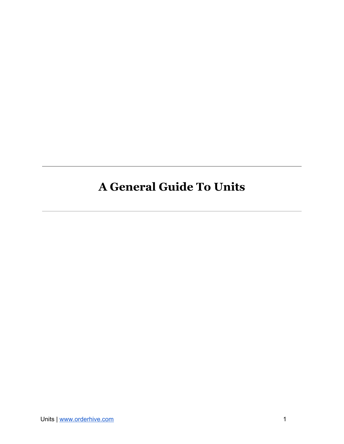## <span id="page-0-0"></span>**A General Guide To Units**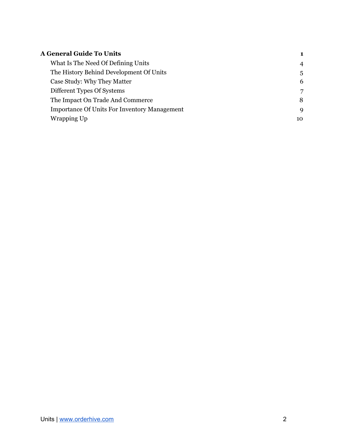| <b>A General Guide To Units</b>                     |                |
|-----------------------------------------------------|----------------|
| What Is The Need Of Defining Units                  | $\overline{4}$ |
| The History Behind Development Of Units             | 5              |
| Case Study: Why They Matter                         | 6              |
| Different Types Of Systems                          | 7              |
| The Impact On Trade And Commerce                    | 8              |
| <b>Importance Of Units For Inventory Management</b> | 9              |
| Wrapping Up                                         | 10             |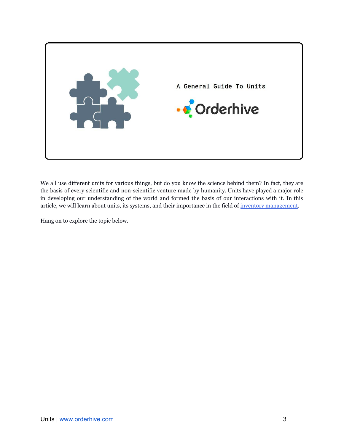

We all use different units for various things, but do you know the science behind them? In fact, they are the basis of every scientific and non-scientific venture made by humanity. Units have played a major role in developing our understanding of the world and formed the basis of our interactions with it. In this article, we will learn about units, its systems, and their importance in the field of inventory [management](https://www.orderhive.com/inventory-management.html?utm_source=Neel&utm_medium=Unit&utm_campaign=PDF).

Hang on to explore the topic below.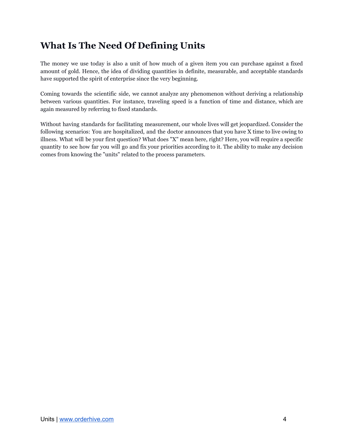### <span id="page-3-0"></span>**What Is The Need Of Defining Units**

The money we use today is also a unit of how much of a given item you can purchase against a fixed amount of gold. Hence, the idea of dividing quantities in definite, measurable, and acceptable standards have supported the spirit of enterprise since the very beginning.

Coming towards the scientific side, we cannot analyze any phenomenon without deriving a relationship between various quantities. For instance, traveling speed is a function of time and distance, which are again measured by referring to fixed standards.

Without having standards for facilitating measurement, our whole lives will get jeopardized. Consider the following scenarios: You are hospitalized, and the doctor announces that you have X time to live owing to illness. What will be your first question? What does "X" mean here, right? Here, you will require a specific quantity to see how far you will go and fix your priorities according to it. The ability to make any decision comes from knowing the "units" related to the process parameters.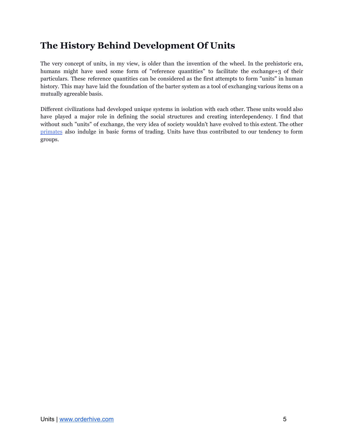#### <span id="page-4-0"></span>**The History Behind Development Of Units**

The very concept of units, in my view, is older than the invention of the wheel. In the prehistoric era, humans might have used some form of "reference quantities" to facilitate the exchange+3 of their particulars. These reference quantities can be considered as the first attempts to form "units" in human history. This may have laid the foundation of the barter system as a tool of exchanging various items on a mutually agreeable basis.

Different civilizations had developed unique systems in isolation with each other. These units would also have played a major role in defining the social structures and creating interdependency. I find that without such "units" of exchange, the very idea of society wouldn't have evolved to this extent. The other [primates](https://www.sciencedaily.com/releases/2009/06/090608095044.htm) also indulge in basic forms of trading. Units have thus contributed to our tendency to form groups.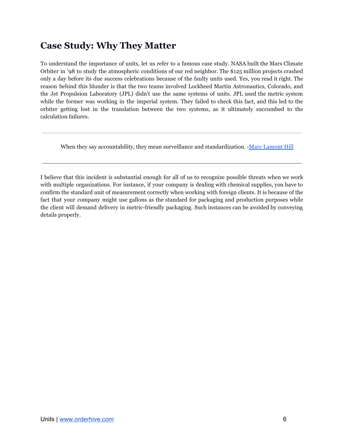#### <span id="page-5-0"></span>**Case Study: Why They Matter**

To understand the importance of units, let us refer to a famous case study. NASA built the Mars Climate Orbiter in '98 to study the atmospheric conditions of our red neighbor. The \$125 million projects crashed only a day before its due success celebrations because of the faulty units used. Yes, you read it right. The reason behind this blunder is that the two teams involved Lockheed Martin Astronautics, Colorado, and the Jet Propulsion Laboratory (JPL) didn't use the same systems of units. JPL used the metric system while the former was working in the imperial system. They failed to check this fact, and this led to the orbiter getting lost in the translation between the two systems, as it ultimately succumbed to the calculation failures.

When they say accountability, they mean surveillance and standardization. -Marc [Lamont](http://www.marclamonthill.com/about) Hill

I believe that this incident is substantial enough for all of us to recognize possible threats when we work with multiple organizations. For instance, if your company is dealing with chemical supplies, you have to confirm the standard unit of measurement correctly when working with foreign clients. It is because of the fact that your company might use gallons as the standard for packaging and production purposes while the client will demand delivery in metric-friendly packaging. Such instances can be avoided by conveying details properly.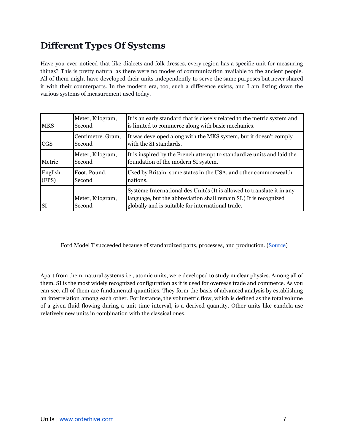## <span id="page-6-0"></span>**Different Types Of Systems**

Have you ever noticed that like dialects and folk dresses, every region has a specific unit for measuring things? This is pretty natural as there were no modes of communication available to the ancient people. All of them might have developed their units independently to serve the same purposes but never shared it with their counterparts. In the modern era, too, such a difference exists, and I am listing down the various systems of measurement used today.

| <b>MKS</b>       | Meter, Kilogram,<br>Second  | It is an early standard that is closely related to the metric system and<br>is limited to commerce along with basic mechanics.                                                                   |
|------------------|-----------------------------|--------------------------------------------------------------------------------------------------------------------------------------------------------------------------------------------------|
| <b>CGS</b>       | Centimetre. Gram,<br>Second | It was developed along with the MKS system, but it doesn't comply<br>with the SI standards.                                                                                                      |
| Metric           | Meter, Kilogram,<br>Second  | It is inspired by the French attempt to standardize units and laid the<br>foundation of the modern SI system.                                                                                    |
| English<br>(FPS) | Foot, Pound,<br>Second      | Used by Britain, some states in the USA, and other commonwealth<br>nations.                                                                                                                      |
| <b>SI</b>        | Meter, Kilogram,<br>Second  | Système International des Unités (It is allowed to translate it in any<br>language, but the abbreviation shall remain SI.) It is recognized<br>globally and is suitable for international trade. |

Ford Model T succeeded because of standardized parts, processes, and production. [\(Source](https://www.independent.co.uk/life-style/motoring/features/model-t-ford-the-car-that-changed-our-world-790395.html))

Apart from them, natural systems i.e., atomic units, were developed to study nuclear physics. Among all of them, SI is the most widely recognized configuration as it is used for overseas trade and commerce. As you can see, all of them are fundamental quantities. They form the basis of advanced analysis by establishing an interrelation among each other. For instance, the volumetric flow, which is defined as the total volume of a given fluid flowing during a unit time interval, is a derived quantity. Other units like candela use relatively new units in combination with the classical ones.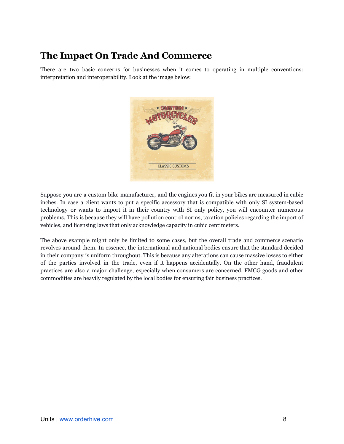#### <span id="page-7-0"></span>**The Impact On Trade And Commerce**

There are two basic concerns for businesses when it comes to operating in multiple conventions: interpretation and interoperability. Look at the image below:



Suppose you are a custom bike manufacturer, and the engines you fit in your bikes are measured in cubic inches. In case a client wants to put a specific accessory that is compatible with only SI system-based technology or wants to import it in their country with SI only policy, you will encounter numerous problems. This is because they will have pollution control norms, taxation policies regarding the import of vehicles, and licensing laws that only acknowledge capacity in cubic centimeters.

The above example might only be limited to some cases, but the overall trade and commerce scenario revolves around them. In essence, the international and national bodies ensure that the standard decided in their company is uniform throughout. This is because any alterations can cause massive losses to either of the parties involved in the trade, even if it happens accidentally. On the other hand, fraudulent practices are also a major challenge, especially when consumers are concerned. FMCG goods and other commodities are heavily regulated by the local bodies for ensuring fair business practices.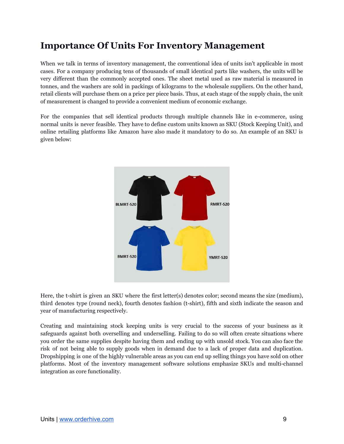#### <span id="page-8-0"></span>**Importance Of Units For Inventory Management**

When we talk in terms of inventory management, the conventional idea of units isn't applicable in most cases. For a company producing tens of thousands of small identical parts like washers, the units will be very different than the commonly accepted ones. The sheet metal used as raw material is measured in tonnes, and the washers are sold in packings of kilograms to the wholesale suppliers. On the other hand, retail clients will purchase them on a price per piece basis. Thus, at each stage of the supply chain, the unit of measurement is changed to provide a convenient medium of economic exchange.

For the companies that sell identical products through multiple channels like in e-commerce, using normal units is never feasible. They have to define custom units known as SKU (Stock Keeping Unit), and online retailing platforms like Amazon have also made it mandatory to do so. An example of an SKU is given below:



Here, the t-shirt is given an SKU where the first letter(s) denotes color; second means the size (medium), third denotes type (round neck), fourth denotes fashion (t-shirt), fifth and sixth indicate the season and year of manufacturing respectively.

Creating and maintaining stock keeping units is very crucial to the success of your business as it safeguards against both overselling and underselling. Failing to do so will often create situations where you order the same supplies despite having them and ending up with unsold stock. You can also face the risk of not being able to supply goods when in demand due to a lack of proper data and duplication. Dropshipping is one of the highly vulnerable areas as you can end up selling things you have sold on other platforms. Most of the inventory management software solutions emphasize SKUs and multi-channel integration as core functionality.